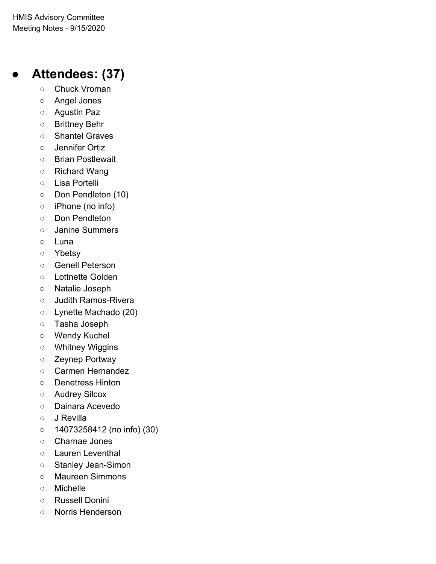# **● Attendees: (37)**

- Chuck Vroman
- Angel Jones
- Agustin Paz
- Brittney Behr
- Shantel Graves
- Jennifer Ortiz
- Brian Postlewait
- Richard Wang
- Lisa Portelli
- Don Pendleton (10)
- iPhone (no info)
- Don Pendleton
- Janine Summers
- Luna
- Ybetsy
- Genell Peterson
- Lottnette Golden
- Natalie Joseph
- Judith Ramos-Rivera
- Lynette Machado (20)
- Tasha Joseph
- Wendy Kuchel
- Whitney Wiggins
- Zeynep Portway
- Carmen Hernandez
- Denetress Hinton
- Audrey Silcox
- Dainara Acevedo
- J Revilla
- 14073258412 (no info) (30)
- Charnae Jones
- Lauren Leventhal
- Stanley Jean-Simon
- Maureen Simmons
- Michelle
- Russell Donini
- Norris Henderson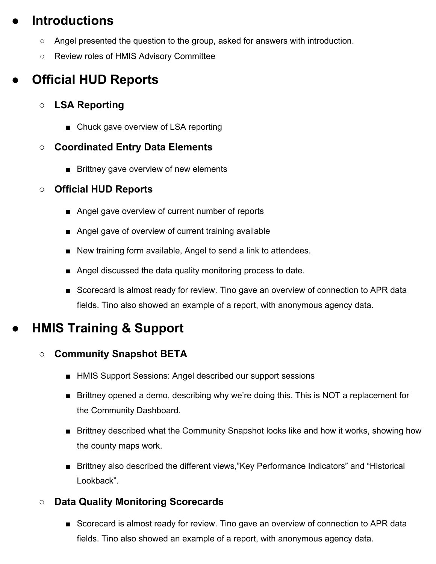# **● Introductions**

- $\circ$  Angel presented the question to the group, asked for answers with introduction.
- Review roles of HMIS Advisory Committee

# **● Official HUD Reports**

## **○ LSA Reporting**

■ Chuck gave overview of LSA reporting

### **○ Coordinated Entry Data Elements**

■ Brittney gave overview of new elements

### **○ Official HUD Reports**

- Angel gave overview of current number of reports
- Angel gave of overview of current training available
- New training form available, Angel to send a link to attendees.
- Angel discussed the data quality monitoring process to date.
- Scorecard is almost ready for review. Tino gave an overview of connection to APR data fields. Tino also showed an example of a report, with anonymous agency data.

# **● HMIS Training & Support**

## **○ Community Snapshot BETA**

- HMIS Support Sessions: Angel described our support sessions
- Brittney opened a demo, describing why we're doing this. This is NOT a replacement for the Community Dashboard.
- Brittney described what the Community Snapshot looks like and how it works, showing how the county maps work.
- Brittney also described the different views, "Key Performance Indicators" and "Historical Lookback".

## **○ Data Quality Monitoring Scorecards**

■ Scorecard is almost ready for review. Tino gave an overview of connection to APR data fields. Tino also showed an example of a report, with anonymous agency data.